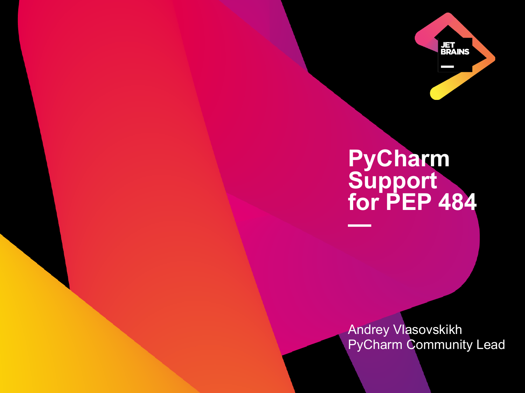

# **PyCharm Support for PEP 484 —**

Andrey Vlasovskikh PyCharm Community Lead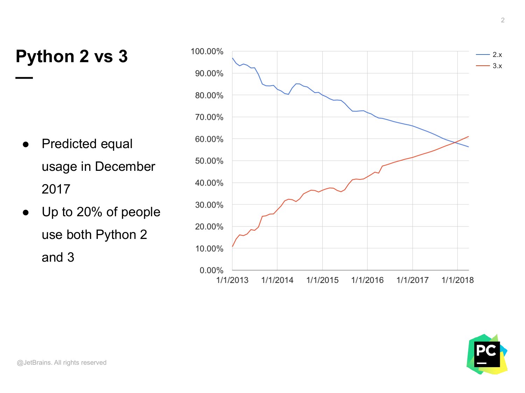#### **Python 2 vs 3**

**—**

- Predicted equal usage in December 2017
- Up to 20% of people use both Python 2 and 3



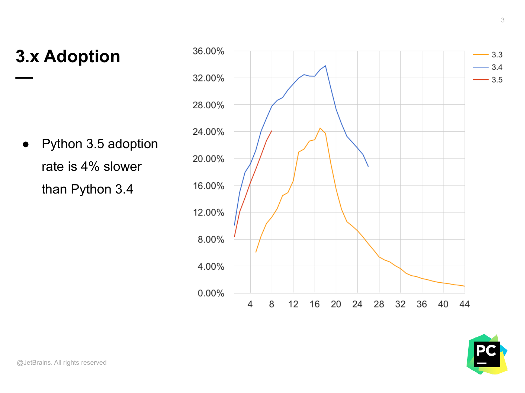## **3.x Adoption**

**—**

● Python 3.5 adoption rate is 4% slower than Python 3.4



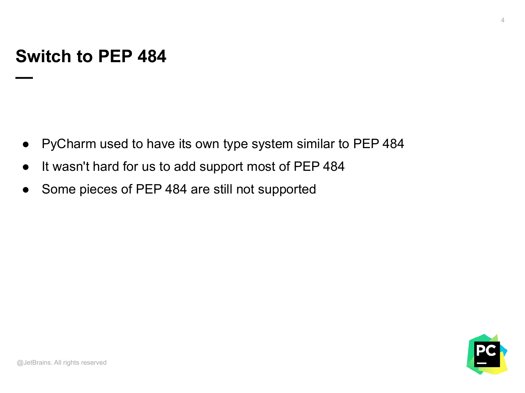#### **Switch to PEP 484**

**—**

- PyCharm used to have its own type system similar to PEP 484
- It wasn't hard for us to add support most of PEP 484
- Some pieces of PEP 484 are still not supported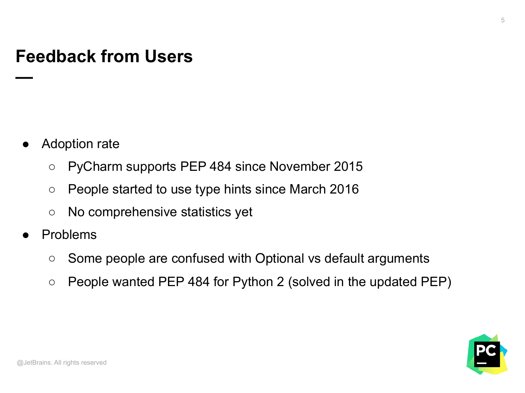#### **Feedback from Users**

Adoption rate

**—**

- PyCharm supports PEP 484 since November 2015
- People started to use type hints since March 2016
- No comprehensive statistics yet
- **Problems** 
	- Some people are confused with Optional vs default arguments
	- $\circ$  People wanted PEP 484 for Python 2 (solved in the updated PEP)



5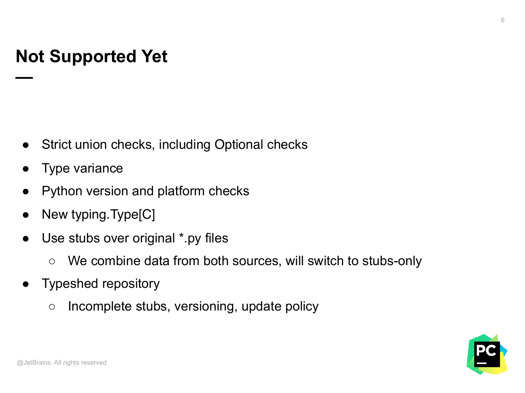# **Not Supported Yet**

- Strict union checks, including Optional checks
- **Type variance**

**—**

- Python version and platform checks
- New typing.Type[C]
- Use stubs over original \*.py files
	- We combine data from both sources, will switch to stubs-only
- Typeshed repository
	- Incomplete stubs, versioning, update policy



@JetBrains. All rights reserved